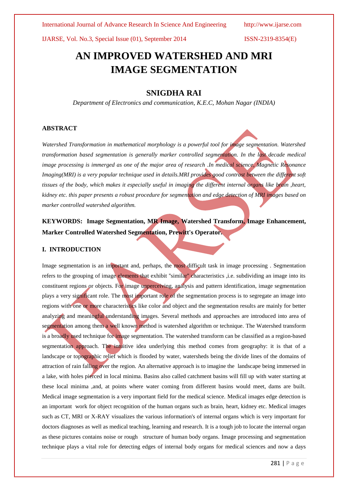International Journal of Advance Research In Science And Engineering http://www.ijarse.com

IJARSE, Vol. No.3, Special Issue (01), September 2014 ISSN-2319-8354(E)

## **AN IMPROVED WATERSHED AND MRI IMAGE SEGMENTATION**

## **SNIGDHA RAI**

*Department of Electronics and communication, K.E.C, Mohan Nagar (INDIA)*

#### **ABSTRACT**

*Watershed Transformation in mathematical morphology is a powerful tool for image segmentation. Watershed transformation based segmentation is generally marker controlled segmentation. In the last decade medical image processing is immerged as one of the major area of research .In medical science, Magnetic Resonance Imaging(MRI) is a very popular technique used in details.MRI provides good contrast between the different soft tissues of the body, which makes it especially useful in imaging the different internal organs like brain ,heart, kidney etc. this paper presents a robust procedure for segmentation and edge detection of MRI images based on marker controlled watershed algorithm.*

## **KEYWORDS: Image Segmentation, MR Image, Watershed Transform, Image Enhancement, Marker Controlled Watershed Segmentation, Prewitt's Operator.**

#### **I. INTRODUCTION**

Image segmentation is an important and, perhaps, the most difficult task in image processing . Segmentation refers to the grouping of image elements that exhibit "similar" characteristics ,i.e. subdividing an image into its constituent regions or objects. For image unperceiving, analysis and pattern identification, image segmentation plays a very significant role. The most important role of the segmentation process is to segregate an image into regions with one or more characteristics like color and object and the segmentation results are mainly for better analyzing and meaningful understanding images. Several methods and approaches are introduced into area of segmentation among them a well known method is watershed algorithm or technique. The Watershed transform is a broadly used technique for image segmentation. The watershed transform can be classified as a region-based segmentation approach. The intuitive idea underlying this method comes from geography: it is that of a landscape or topographic relief which is flooded by water, watersheds being the divide lines of the domains of attraction of rain falling over the region. An alternative approach is to imagine the landscape being immersed in a lake, with holes pierced in local minima. Basins also called catchment basins will fill up with water starting at these local minima ,and, at points where water coming from different basins would meet, dams are built. Medical image segmentation is a very important field for the medical science. Medical images edge detection is an important work for object recognition of the human organs such as brain, heart, kidney etc. Medical images such as CT, MRI or X-RAY visualizes the various information's of internal organs which is very important for doctors diagnoses as well as medical teaching, learning and research. It is a tough job to locate the internal organ as these pictures contains noise or rough structure of human body organs. Image processing and segmentation technique plays a vital role for detecting edges of internal body organs for medical sciences and now a days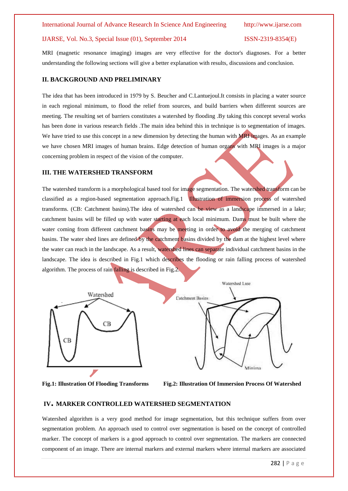#### IJARSE, Vol. No.3, Special Issue (01), September 2014 ISSN-2319-8354(E)

MRI (magnetic resonance imaging) images are very effective for the doctor's diagnoses. For a better understanding the following sections will give a better explanation with results, discussions and conclusion.

#### **II. BACKGROUND AND PRELIMINARY**

The idea that has been introduced in 1979 by S. Beucher and C.Lantuejoul.It consists in placing a water source in each regional minimum, to flood the relief from sources, and build barriers when different sources are meeting. The resulting set of barriers constitutes a watershed by flooding .By taking this concept several works has been done in various research fields .The main idea behind this in technique is to segmentation of images. We have tried to use this concept in a new dimension by detecting the human with MRI images. As an example we have chosen MRI images of human brains. Edge detection of human organs with MRI images is a major concerning problem in respect of the vision of the computer.

#### **III. THE WATERSHED TRANSFORM**

The watershed transform is a morphological based tool for image segmentation. The watershed transform can be classified as a region-based segmentation approach.Fig.1 Illustration of immersion process of watershed transforms. (CB: Catchment basins).The idea of watershed can be view as a landscape immersed in a lake; catchment basins will be filled up with water starting at each local minimum. Dams must be built where the water coming from different catchment basins may be meeting in order to avoid the merging of catchment basins. The water shed lines are defined by the catchment basins divided by the dam at the highest level where the water can reach in the landscape. As a result, watershed lines can separate individual catchment basins in the landscape. The idea is described in Fig.1 which describes the flooding or rain falling process of watershed algorithm. The process of rain falling is described in Fig.2.



**Fig.1: Illustration Of Flooding Transforms Fig.2: Illustration Of Immersion Process Of Watershed** 

#### **IV. MARKER CONTROLLED WATERSHED SEGMENTATION**

Watershed algorithm is a very good method for image segmentation, but this technique suffers from over segmentation problem. An approach used to control over segmentation is based on the concept of controlled marker. The concept of markers is a good approach to control over segmentation. The markers are connected component of an image. There are internal markers and external markers where internal markers are associated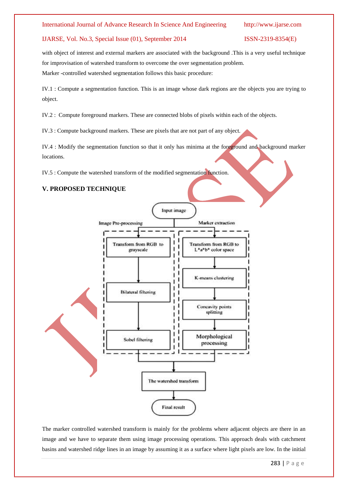#### IJARSE, Vol. No.3, Special Issue (01), September 2014 ISSN-2319-8354(E)

with object of interest and external markers are associated with the background .This is a very useful technique for improvisation of watershed transform to overcome the over segmentation problem. Marker -controlled watershed segmentation follows this basic procedure:

IV.1 : Compute a segmentation function. This is an image whose dark regions are the objects you are trying to object.

IV.2 : Compute foreground markers. These are connected blobs of pixels within each of the objects.

IV.3 : Compute background markers. These are pixels that are not part of any object.

IV.4 : Modify the segmentation function so that it only has minima at the foreground and background marker locations.

IV.5 : Compute the watershed transform of the modified segmentation function.

### **V. PROPOSED TECHNIQUE**



The marker controlled watershed transform is mainly for the problems where adjacent objects are there in an image and we have to separate them using image processing operations. This approach deals with catchment basins and watershed ridge lines in an image by assuming it as a surface where light pixels are low. In the initial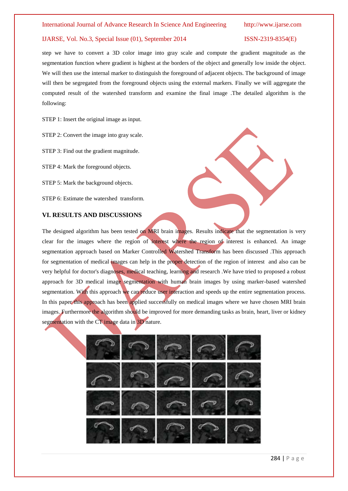#### IJARSE, Vol. No.3, Special Issue (01), September 2014 ISSN-2319-8354(E)

step we have to convert a 3D color image into gray scale and compute the gradient magnitude as the segmentation function where gradient is highest at the borders of the object and generally low inside the object. We will then use the internal marker to distinguish the foreground of adjacent objects. The background of image will then be segregated from the foreground objects using the external markers. Finally we will aggregate the computed result of the watershed transform and examine the final image .The detailed algorithm is the following:

STEP 1: Insert the original image as input.

STEP 2: Convert the image into gray scale.

STEP 3: Find out the gradient magnitude.

STEP 4: Mark the foreground objects.

STEP 5: Mark the background objects.

STEP 6: Estimate the watershed transform.

## **VI. RESULTS AND DISCUSSIONS**

The designed algorithm has been tested on MRI brain images. Results indicate that the segmentation is very clear for the images where the region of interest where the region of interest is enhanced. An image segmentation approach based on Marker Controlled Watershed Transform has been discussed .This approach for segmentation of medical images can help in the proper detection of the region of interest and also can be very helpful for doctor's diagnoses, medical teaching, learning and research .We have tried to proposed a robust approach for 3D medical image segmentation with human brain images by using marker-based watershed segmentation. With this approach we can reduce user interaction and speeds up the entire segmentation process. In this paper this approach has been applied successfully on medical images where we have chosen MRI brain images. Furthermore the algorithm should be improved for more demanding tasks as brain, heart, liver or kidney segmentation with the CT image data in 3D nature.